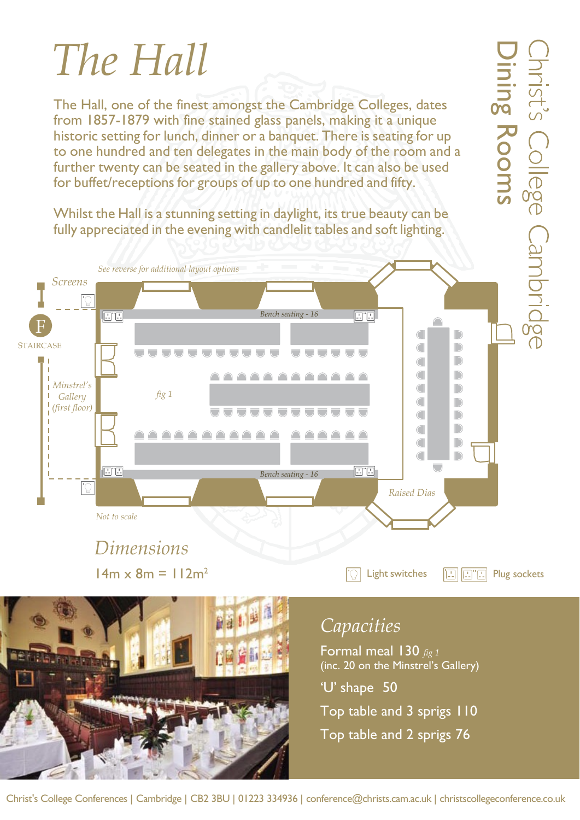## *The Hall*

The Hall, one of the finest amongst the Cambridge Colleges, dates from 1857-1879 with fine stained glass panels, making it a unique historic setting for lunch, dinner or a banquet. There is seating for up to one hundred and ten delegates in the main body of the room and a further twenty can be seated in the gallery above. It can also be used for buffet/receptions for groups of up to one hundred and fifty.

Whilst the Hall is a stunning setting in daylight, its true beauty can be fully appreciated in the evening with candlelit tables and soft lighting.



 $14m \times 8m = 112m^2$   $\Box$  Light switches  $\Box$   $\Box$  Plug sockets



## *Capacities*

Formal meal 130 *fig 1* (inc. 20 on the Minstrel's Gallery)

'U' shape 50

Top table and 3 sprigs 110 Top table and 2 sprigs 76